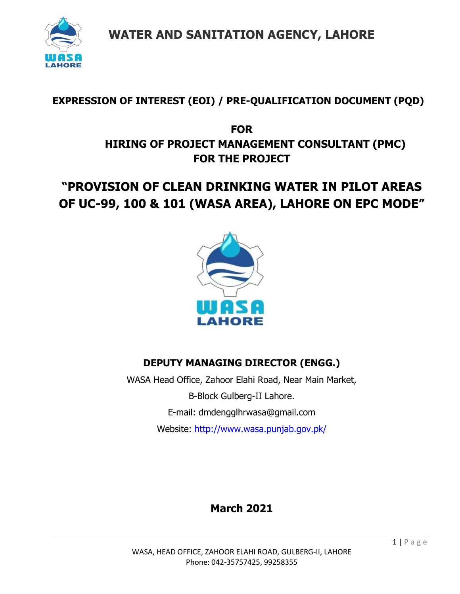

## **EXPRESSION OF INTEREST (EOI) / PRE-QUALIFICATION DOCUMENT (PQD)**

## **FOR HIRING OF PROJECT MANAGEMENT CONSULTANT (PMC) FOR THE PROJECT**

# **"PROVISION OF CLEAN DRINKING WATER IN PILOT AREAS OF UC-99, 100 & 101 (WASA AREA), LAHORE ON EPC MODE"**



## **DEPUTY MANAGING DIRECTOR (ENGG.)**

WASA Head Office, Zahoor Elahi Road, Near Main Market, B-Block Gulberg-II Lahore. E-mail: dmdengglhrwasa@gmail.com Website:<http://www.wasa.punjab.gov.pk/>

# **March 2021**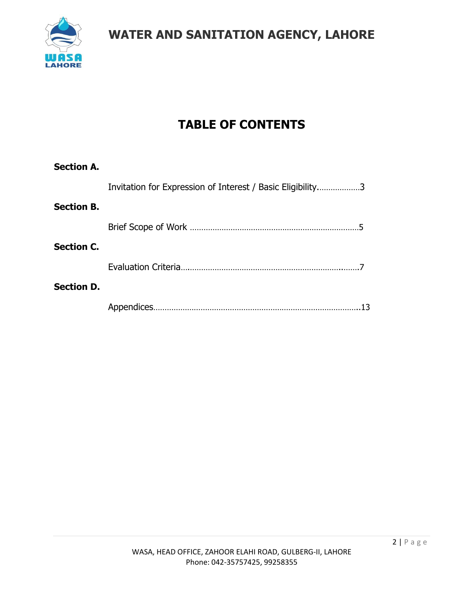

# **TABLE OF CONTENTS**

| Invitation for Expression of Interest / Basic Eligibility3 |  |
|------------------------------------------------------------|--|
| <b>Section B.</b>                                          |  |
|                                                            |  |
| <b>Section C.</b>                                          |  |
|                                                            |  |
| <b>Section D.</b>                                          |  |
|                                                            |  |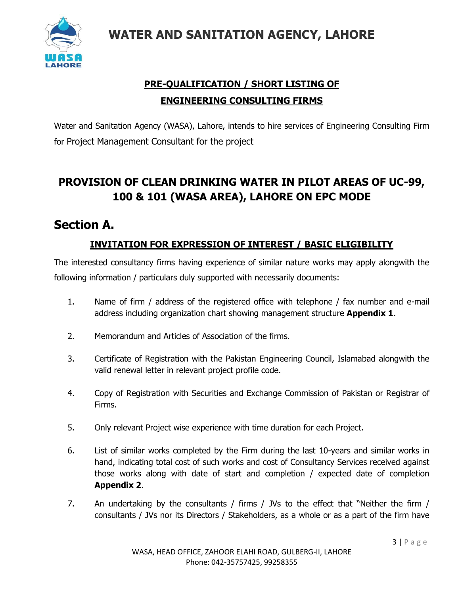

## **PRE-QUALIFICATION / SHORT LISTING OF ENGINEERING CONSULTING FIRMS**

Water and Sanitation Agency (WASA), Lahore, intends to hire services of Engineering Consulting Firm for Project Management Consultant for the project

## **PROVISION OF CLEAN DRINKING WATER IN PILOT AREAS OF UC-99, 100 & 101 (WASA AREA), LAHORE ON EPC MODE**

## **Section A.**

### **INVITATION FOR EXPRESSION OF INTEREST / BASIC ELIGIBILITY**

The interested consultancy firms having experience of similar nature works may apply alongwith the following information / particulars duly supported with necessarily documents:

- 1. Name of firm / address of the registered office with telephone / fax number and e-mail address including organization chart showing management structure **Appendix 1**.
- 2. Memorandum and Articles of Association of the firms.
- 3. Certificate of Registration with the Pakistan Engineering Council, Islamabad alongwith the valid renewal letter in relevant project profile code.
- 4. Copy of Registration with Securities and Exchange Commission of Pakistan or Registrar of Firms.
- 5. Only relevant Project wise experience with time duration for each Project.
- 6. List of similar works completed by the Firm during the last 10-years and similar works in hand, indicating total cost of such works and cost of Consultancy Services received against those works along with date of start and completion / expected date of completion **Appendix 2**.
- 7. An undertaking by the consultants / firms / JVs to the effect that "Neither the firm / consultants / JVs nor its Directors / Stakeholders, as a whole or as a part of the firm have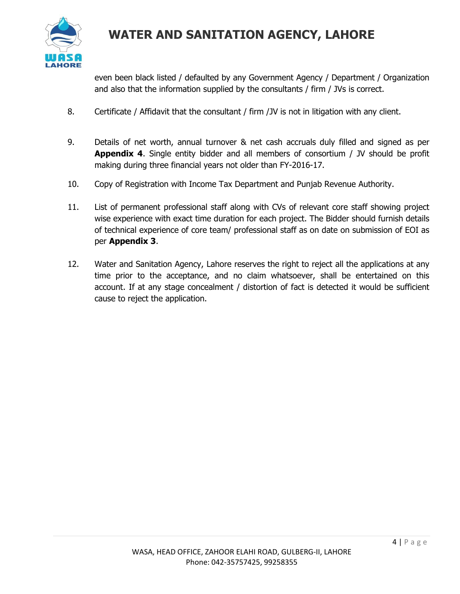

even been black listed / defaulted by any Government Agency / Department / Organization and also that the information supplied by the consultants / firm / JVs is correct.

- 8. Certificate / Affidavit that the consultant / firm /JV is not in litigation with any client.
- 9. Details of net worth, annual turnover & net cash accruals duly filled and signed as per **Appendix 4**. Single entity bidder and all members of consortium / JV should be profit making during three financial years not older than FY-2016-17.
- 10. Copy of Registration with Income Tax Department and Punjab Revenue Authority.
- 11. List of permanent professional staff along with CVs of relevant core staff showing project wise experience with exact time duration for each project. The Bidder should furnish details of technical experience of core team/ professional staff as on date on submission of EOI as per **Appendix 3**.
- 12. Water and Sanitation Agency, Lahore reserves the right to reject all the applications at any time prior to the acceptance, and no claim whatsoever, shall be entertained on this account. If at any stage concealment / distortion of fact is detected it would be sufficient cause to reject the application.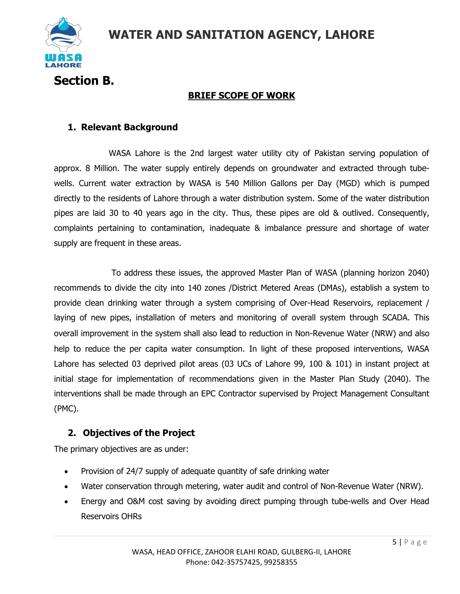

**Section B.**

### **BRIEF SCOPE OF WORK**

#### **1. Relevant Background**

WASA Lahore is the 2nd largest water utility city of Pakistan serving population of approx. 8 Million. The water supply entirely depends on groundwater and extracted through tubewells. Current water extraction by WASA is 540 Million Gallons per Day (MGD) which is pumped directly to the residents of Lahore through a water distribution system. Some of the water distribution pipes are laid 30 to 40 years ago in the city. Thus, these pipes are old & outlived. Consequently, complaints pertaining to contamination, inadequate & imbalance pressure and shortage of water supply are frequent in these areas.

To address these issues, the approved Master Plan of WASA (planning horizon 2040) recommends to divide the city into 140 zones /District Metered Areas (DMAs), establish a system to provide clean drinking water through a system comprising of Over-Head Reservoirs, replacement / laying of new pipes, installation of meters and monitoring of overall system through SCADA. This overall improvement in the system shall also lead to reduction in Non-Revenue Water (NRW) and also help to reduce the per capita water consumption. In light of these proposed interventions, WASA Lahore has selected 03 deprived pilot areas (03 UCs of Lahore 99, 100 & 101) in instant project at initial stage for implementation of recommendations given in the Master Plan Study (2040). The interventions shall be made through an EPC Contractor supervised by Project Management Consultant (PMC).

### **2. Objectives of the Project**

The primary objectives are as under:

- Provision of 24/7 supply of adequate quantity of safe drinking water
- Water conservation through metering, water audit and control of Non-Revenue Water (NRW).
- Energy and O&M cost saving by avoiding direct pumping through tube-wells and Over Head Reservoirs OHRs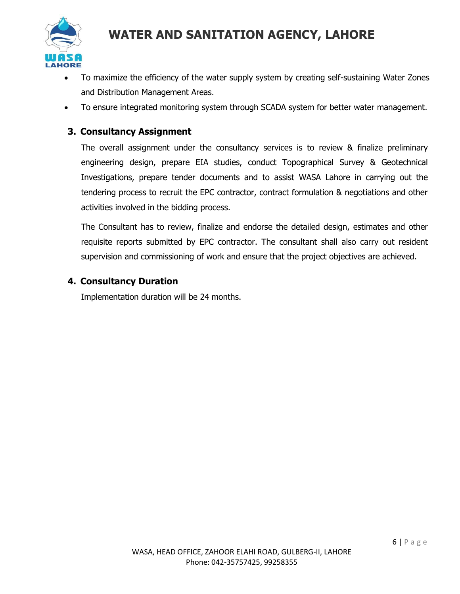

- To maximize the efficiency of the water supply system by creating self-sustaining Water Zones and Distribution Management Areas.
- To ensure integrated monitoring system through SCADA system for better water management.

#### **3. Consultancy Assignment**

The overall assignment under the consultancy services is to review & finalize preliminary engineering design, prepare EIA studies, conduct Topographical Survey & Geotechnical Investigations, prepare tender documents and to assist WASA Lahore in carrying out the tendering process to recruit the EPC contractor, contract formulation & negotiations and other activities involved in the bidding process.

The Consultant has to review, finalize and endorse the detailed design, estimates and other requisite reports submitted by EPC contractor. The consultant shall also carry out resident supervision and commissioning of work and ensure that the project objectives are achieved.

#### **4. Consultancy Duration**

Implementation duration will be 24 months.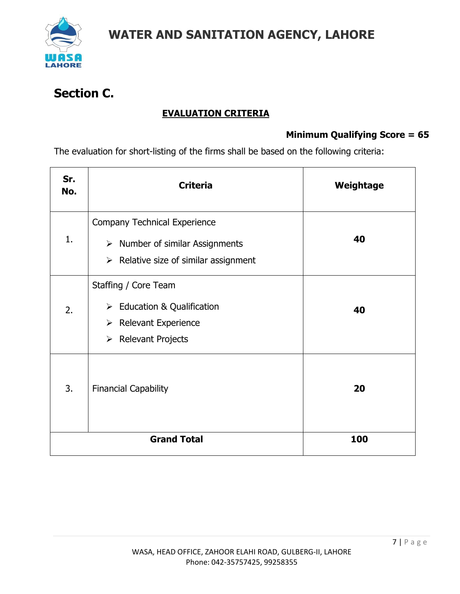

# **Section C.**

### **EVALUATION CRITERIA**

### **Minimum Qualifying Score = 65**

The evaluation for short-listing of the firms shall be based on the following criteria:

| Sr.<br>No. | <b>Criteria</b>                                                                                                                                  | Weightage |
|------------|--------------------------------------------------------------------------------------------------------------------------------------------------|-----------|
| 1.         | <b>Company Technical Experience</b><br>$\triangleright$ Number of similar Assignments<br>$\triangleright$ Relative size of similar assignment    | 40        |
| 2.         | Staffing / Core Team<br>$\triangleright$ Education & Qualification<br>$\triangleright$ Relevant Experience<br>$\triangleright$ Relevant Projects | 40        |
| 3.         | <b>Financial Capability</b>                                                                                                                      | 20        |
|            | <b>Grand Total</b>                                                                                                                               | 100       |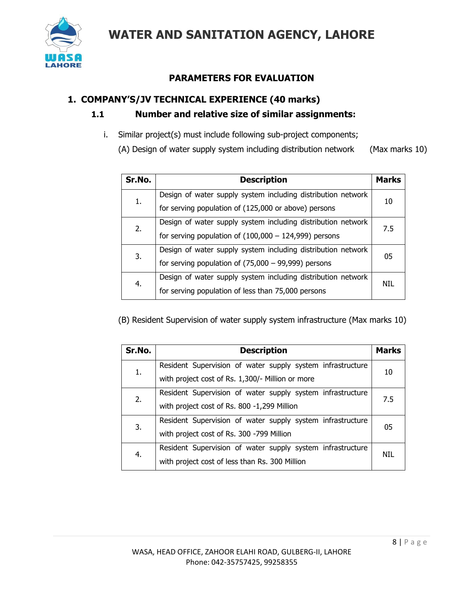

### **PARAMETERS FOR EVALUATION**

#### **1. COMPANY'S/JV TECHNICAL EXPERIENCE (40 marks)**

#### **1.1 Number and relative size of similar assignments:**

i. Similar project(s) must include following sub-project components;

(A) Design of water supply system including distribution network (Max marks 10)

| Sr.No. | <b>Description</b>                                           | <b>Marks</b> |
|--------|--------------------------------------------------------------|--------------|
| 1.     | Design of water supply system including distribution network | 10           |
|        | for serving population of (125,000 or above) persons         |              |
| 2.     | Design of water supply system including distribution network | 7.5          |
|        | for serving population of $(100,000 - 124,999)$ persons      |              |
| 3.     | Design of water supply system including distribution network | 05           |
|        | for serving population of $(75,000 - 99,999)$ persons        |              |
| 4.     | Design of water supply system including distribution network | NIL          |
|        | for serving population of less than 75,000 persons           |              |

(B) Resident Supervision of water supply system infrastructure (Max marks 10)

| Sr.No. | <b>Description</b>                                                                                             | <b>Marks</b> |
|--------|----------------------------------------------------------------------------------------------------------------|--------------|
| 1.     | Resident Supervision of water supply system infrastructure<br>with project cost of Rs. 1,300/- Million or more | 10           |
| 2.     | Resident Supervision of water supply system infrastructure<br>with project cost of Rs. 800 -1,299 Million      | 7.5          |
| 3.     | Resident Supervision of water supply system infrastructure<br>with project cost of Rs. 300 -799 Million        | 05           |
| 4.     | Resident Supervision of water supply system infrastructure<br>with project cost of less than Rs. 300 Million   | NTI          |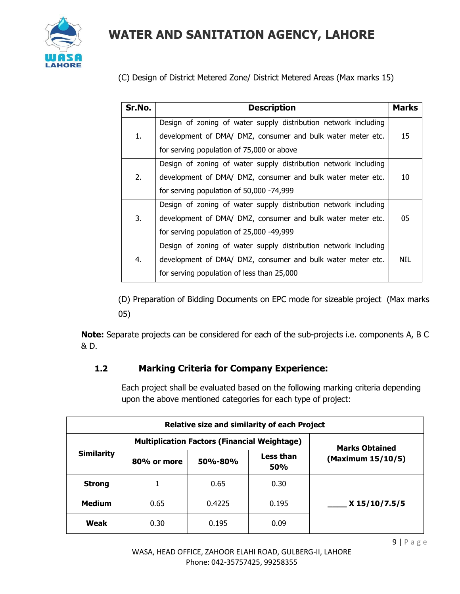

(C) Design of District Metered Zone/ District Metered Areas (Max marks 15)

| Sr.No. | <b>Description</b>                                              | <b>Marks</b> |
|--------|-----------------------------------------------------------------|--------------|
|        | Design of zoning of water supply distribution network including |              |
| 1.     | development of DMA/ DMZ, consumer and bulk water meter etc.     | 15           |
|        | for serving population of 75,000 or above                       |              |
|        | Design of zoning of water supply distribution network including |              |
| 2.     | development of DMA/ DMZ, consumer and bulk water meter etc.     | 10           |
|        | for serving population of 50,000 -74,999                        |              |
|        | Design of zoning of water supply distribution network including |              |
| 3.     | development of DMA/ DMZ, consumer and bulk water meter etc.     | 05           |
|        | for serving population of 25,000 -49,999                        |              |
| 4.     | Design of zoning of water supply distribution network including |              |
|        | development of DMA/ DMZ, consumer and bulk water meter etc.     | NIL          |
|        | for serving population of less than 25,000                      |              |

(D) Preparation of Bidding Documents on EPC mode for sizeable project (Max marks 05)

**Note:** Separate projects can be considered for each of the sub-projects i.e. components A, B C & D.

### **1.2 Marking Criteria for Company Experience:**

Each project shall be evaluated based on the following marking criteria depending upon the above mentioned categories for each type of project:

|                   | <b>Relative size and similarity of each Project</b> |                       |                  |                   |  |  |
|-------------------|-----------------------------------------------------|-----------------------|------------------|-------------------|--|--|
| <b>Similarity</b> | <b>Multiplication Factors (Financial Weightage)</b> | <b>Marks Obtained</b> |                  |                   |  |  |
|                   | 80% or more                                         | <b>50%-80%</b>        | Less than<br>50% | (Maximum 15/10/5) |  |  |
| <b>Strong</b>     |                                                     | 0.65                  | 0.30             |                   |  |  |
| <b>Medium</b>     | 0.65                                                | 0.4225                | 0.195            | X 15/10/7.5/5     |  |  |
| Weak              | 0.30                                                | 0.195                 | 0.09             |                   |  |  |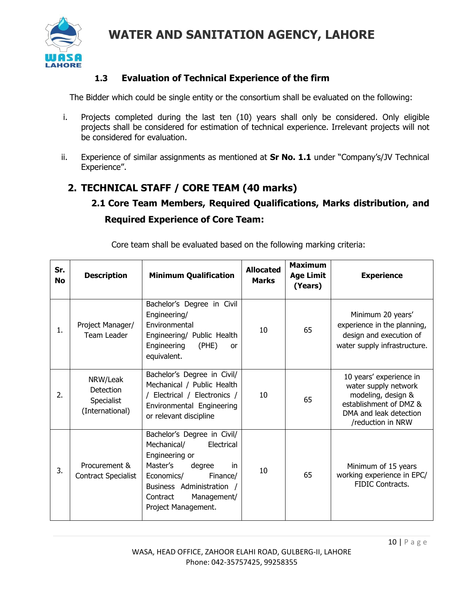

### **1.3 Evaluation of Technical Experience of the firm**

The Bidder which could be single entity or the consortium shall be evaluated on the following:

- i. Projects completed during the last ten (10) years shall only be considered. Only eligible projects shall be considered for estimation of technical experience. Irrelevant projects will not be considered for evaluation.
- ii. Experience of similar assignments as mentioned at **Sr No. 1.1** under "Company's/JV Technical Experience".

## **2. TECHNICAL STAFF / CORE TEAM (40 marks)**

## **2.1 Core Team Members, Required Qualifications, Marks distribution, and Required Experience of Core Team:**

| Sr.<br><b>No</b> | <b>Description</b>                                            | <b>Minimum Qualification</b>                                                                                                                                                                                    | <b>Allocated</b><br><b>Marks</b> | <b>Maximum</b><br><b>Age Limit</b><br>(Years) | <b>Experience</b>                                                                                                                              |
|------------------|---------------------------------------------------------------|-----------------------------------------------------------------------------------------------------------------------------------------------------------------------------------------------------------------|----------------------------------|-----------------------------------------------|------------------------------------------------------------------------------------------------------------------------------------------------|
| 1.               | Project Manager/<br>Team Leader                               | Bachelor's Degree in Civil<br>Engineering/<br>Environmental<br>Engineering/ Public Health<br>Engineering<br>(PHE)<br>or<br>equivalent.                                                                          | 10                               | 65                                            | Minimum 20 years'<br>experience in the planning,<br>design and execution of<br>water supply infrastructure.                                    |
| 2.               | NRW/Leak<br><b>Detection</b><br>Specialist<br>(International) | Bachelor's Degree in Civil/<br>Mechanical / Public Health<br>/ Electrical / Electronics /<br>Environmental Engineering<br>or relevant discipline                                                                | 10                               | 65                                            | 10 years' experience in<br>water supply network<br>modeling, design &<br>establishment of DMZ &<br>DMA and leak detection<br>/reduction in NRW |
| 3.               | Procurement &<br><b>Contract Specialist</b>                   | Bachelor's Degree in Civil/<br>Mechanical/<br>Electrical<br>Engineering or<br>Master's<br>degree<br>in<br>Economics/<br>Finance/<br>Business Administration /<br>Management/<br>Contract<br>Project Management. | 10                               | 65                                            | Minimum of 15 years<br>working experience in EPC/<br><b>FIDIC Contracts.</b>                                                                   |

Core team shall be evaluated based on the following marking criteria: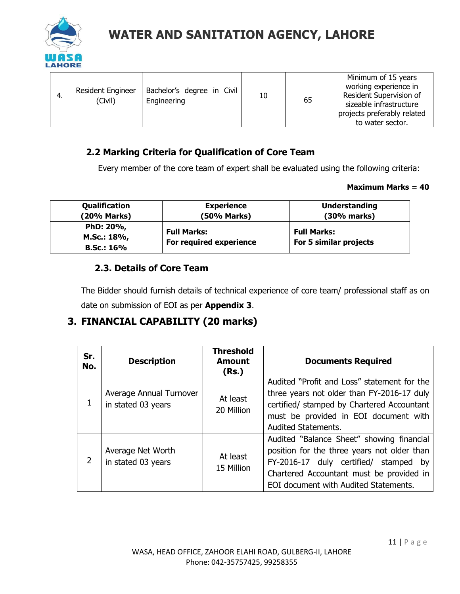

| Bachelor's degree in Civil<br><b>Resident Engineer</b><br>4.<br>(Civil)<br>Engineering | 10 | 65 | Minimum of 15 years<br>working experience in<br>Resident Supervision of<br>sizeable infrastructure<br>projects preferably related<br>to water sector. |
|----------------------------------------------------------------------------------------|----|----|-------------------------------------------------------------------------------------------------------------------------------------------------------|
|----------------------------------------------------------------------------------------|----|----|-------------------------------------------------------------------------------------------------------------------------------------------------------|

### **2.2 Marking Criteria for Qualification of Core Team**

Every member of the core team of expert shall be evaluated using the following criteria:

#### **Maximum Marks = 40**

| Qualification     | <b>Experience</b>       | <b>Understanding</b>   |
|-------------------|-------------------------|------------------------|
| (20% Marks)       | (50% Marks)             | (30% marks)            |
| PhD: 20%,         | <b>Full Marks:</b>      | <b>Full Marks:</b>     |
| M.Sc.: 18%,       | For required experience | For 5 similar projects |
| <b>B.Sc.: 16%</b> |                         |                        |

#### **2.3. Details of Core Team**

The Bidder should furnish details of technical experience of core team/ professional staff as on date on submission of EOI as per **Appendix 3**.

### **3. FINANCIAL CAPABILITY (20 marks)**

| Sr.<br>No. | <b>Description</b>                            | <b>Threshold</b><br><b>Amount</b><br>(Rs.) | <b>Documents Required</b>                                                                                                                                                                                                 |
|------------|-----------------------------------------------|--------------------------------------------|---------------------------------------------------------------------------------------------------------------------------------------------------------------------------------------------------------------------------|
|            | Average Annual Turnover<br>in stated 03 years | At least<br>20 Million                     | Audited "Profit and Loss" statement for the<br>three years not older than FY-2016-17 duly<br>certified/ stamped by Chartered Accountant<br>must be provided in EOI document with<br><b>Audited Statements.</b>            |
|            | Average Net Worth<br>in stated 03 years       | At least<br>15 Million                     | Audited "Balance Sheet" showing financial<br>position for the three years not older than<br>FY-2016-17 duly certified/<br>stamped by<br>Chartered Accountant must be provided in<br>EOI document with Audited Statements. |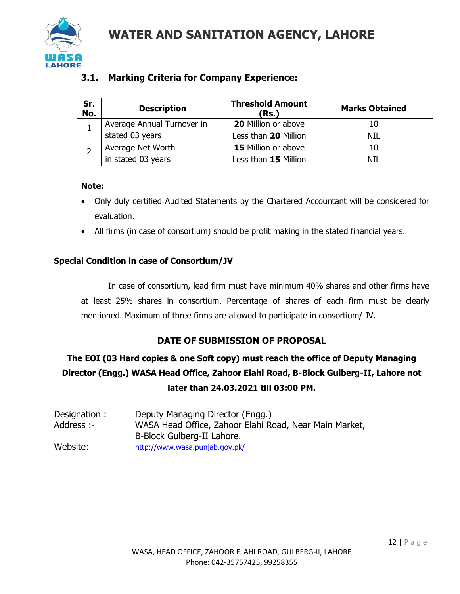

### **3.1. Marking Criteria for Company Experience:**

| Sr.<br>No. | <b>Description</b>         | <b>Threshold Amount</b><br>(Rs.) | <b>Marks Obtained</b> |
|------------|----------------------------|----------------------------------|-----------------------|
|            | Average Annual Turnover in | 20 Million or above              | 10                    |
|            | stated 03 years            | Less than 20 Million             | NIL                   |
|            | Average Net Worth          | <b>15</b> Million or above       | 10                    |
|            | in stated 03 years         | Less than 15 Million             | NIL                   |

#### **Note:**

- Only duly certified Audited Statements by the Chartered Accountant will be considered for evaluation.
- All firms (in case of consortium) should be profit making in the stated financial years.

#### **Special Condition in case of Consortium/JV**

In case of consortium, lead firm must have minimum 40% shares and other firms have at least 25% shares in consortium. Percentage of shares of each firm must be clearly mentioned. Maximum of three firms are allowed to participate in consortium/ JV.

#### **DATE OF SUBMISSION OF PROPOSAL**

## **The EOI (03 Hard copies & one Soft copy) must reach the office of Deputy Managing Director (Engg.) WASA Head Office, Zahoor Elahi Road, B-Block Gulberg-II, Lahore not later than 24.03.2021 till 03:00 PM.**

| Designation: | Deputy Managing Director (Engg.)                       |
|--------------|--------------------------------------------------------|
| Address :-   | WASA Head Office, Zahoor Elahi Road, Near Main Market, |
|              | B-Block Gulberg-II Lahore.                             |
| Website:     | http://www.wasa.punjab.gov.pk/                         |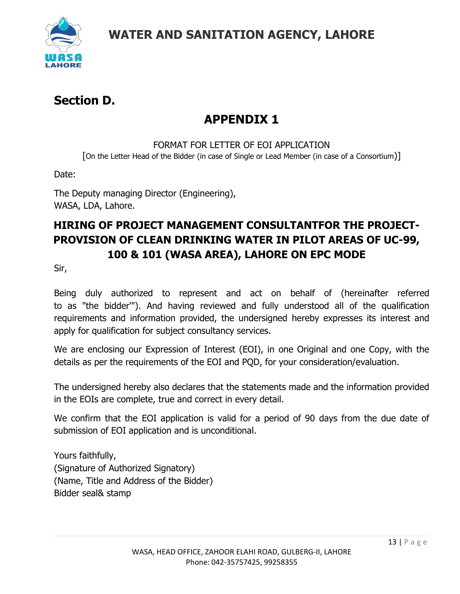

## **Section D.**

# **APPENDIX 1**

#### FORMAT FOR LETTER OF FOI APPLICATION

[On the Letter Head of the Bidder (in case of Single or Lead Member (in case of a Consortium)]

Date:

The Deputy managing Director (Engineering), WASA, LDA, Lahore.

## **HIRING OF PROJECT MANAGEMENT CONSULTANTFOR THE PROJECT-PROVISION OF CLEAN DRINKING WATER IN PILOT AREAS OF UC-99, 100 & 101 (WASA AREA), LAHORE ON EPC MODE**

Sir,

Being duly authorized to represent and act on behalf of (hereinafter referred to as "the bidder'"). And having reviewed and fully understood all of the qualification requirements and information provided, the undersigned hereby expresses its interest and apply for qualification for subject consultancy services.

We are enclosing our Expression of Interest (EOI), in one Original and one Copy, with the details as per the requirements of the EOI and PQD, for your consideration/evaluation.

The undersigned hereby also declares that the statements made and the information provided in the EOIs are complete, true and correct in every detail.

We confirm that the EOI application is valid for a period of 90 days from the due date of submission of EOI application and is unconditional.

Yours faithfully, (Signature of Authorized Signatory) (Name, Title and Address of the Bidder) Bidder seal& stamp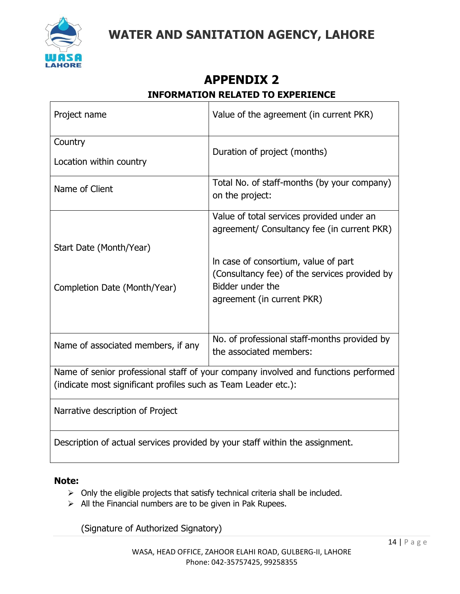

## **APPENDIX 2 INFORMATION RELATED TO EXPERIENCE**

| Project name                                                                                                                                         | Value of the agreement (in current PKR)                                                  |  |  |
|------------------------------------------------------------------------------------------------------------------------------------------------------|------------------------------------------------------------------------------------------|--|--|
| Country                                                                                                                                              |                                                                                          |  |  |
| Location within country                                                                                                                              | Duration of project (months)                                                             |  |  |
| Name of Client                                                                                                                                       | Total No. of staff-months (by your company)<br>on the project:                           |  |  |
|                                                                                                                                                      | Value of total services provided under an<br>agreement/ Consultancy fee (in current PKR) |  |  |
| Start Date (Month/Year)                                                                                                                              |                                                                                          |  |  |
|                                                                                                                                                      | In case of consortium, value of part                                                     |  |  |
| Completion Date (Month/Year)                                                                                                                         | (Consultancy fee) of the services provided by<br>Bidder under the                        |  |  |
|                                                                                                                                                      | agreement (in current PKR)                                                               |  |  |
|                                                                                                                                                      |                                                                                          |  |  |
| Name of associated members, if any                                                                                                                   | No. of professional staff-months provided by<br>the associated members:                  |  |  |
| Name of senior professional staff of your company involved and functions performed<br>(indicate most significant profiles such as Team Leader etc.): |                                                                                          |  |  |
| Narrative description of Project                                                                                                                     |                                                                                          |  |  |
| Description of actual services provided by your staff within the assignment.                                                                         |                                                                                          |  |  |

#### **Note:**

- ➢ Only the eligible projects that satisfy technical criteria shall be included.
- $\triangleright$  All the Financial numbers are to be given in Pak Rupees.

(Signature of Authorized Signatory)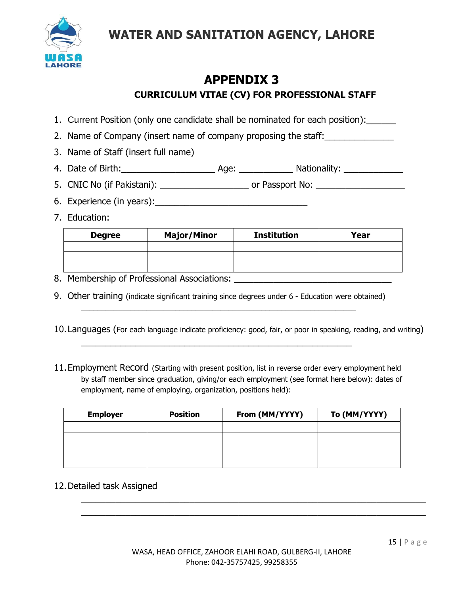

## **APPENDIX 3 CURRICULUM VITAE (CV) FOR PROFESSIONAL STAFF**

- 1. Current Position (only one candidate shall be nominated for each position):
- 2. Name of Company (insert name of company proposing the staff:
- 3. Name of Staff (insert full name)
- 4. Date of Birth:\_\_\_\_\_\_\_\_\_\_\_\_\_\_\_\_\_\_\_ Age: \_\_\_\_\_\_\_\_\_\_\_ Nationality: \_\_\_\_\_\_\_\_\_\_\_\_
- 5. CNIC No (if Pakistani): \_\_\_\_\_\_\_\_\_\_\_\_\_\_\_\_\_\_ or Passport No: \_\_\_\_\_\_\_\_\_\_\_\_\_\_\_\_\_\_
- 6. Experience (in years):
- 7. Education:

| <b>Degree</b> | <b>Major/Minor</b> | <b>Institution</b> | Year |
|---------------|--------------------|--------------------|------|
|               |                    |                    |      |
|               |                    |                    |      |
|               |                    |                    |      |

- 8. Membership of Professional Associations: \_\_\_\_\_\_\_\_\_\_\_\_\_\_\_\_\_\_\_\_\_\_\_\_\_\_\_\_\_\_\_\_
- 9. Other training (indicate significant training since degrees under 6 Education were obtained)  $\_$  , and the set of the set of the set of the set of the set of the set of the set of the set of the set of the set of the set of the set of the set of the set of the set of the set of the set of the set of the set of th

 $\overline{a_1}$  ,  $\overline{a_2}$  ,  $\overline{a_3}$  ,  $\overline{a_4}$  ,  $\overline{a_5}$  ,  $\overline{a_6}$  ,  $\overline{a_7}$  ,  $\overline{a_8}$  ,  $\overline{a_9}$  ,  $\overline{a_9}$  ,  $\overline{a_9}$  ,  $\overline{a_9}$  ,  $\overline{a_9}$  ,  $\overline{a_9}$  ,  $\overline{a_9}$  ,  $\overline{a_9}$  ,  $\overline{a_9}$  ,

- 10.Languages (For each language indicate proficiency: good, fair, or poor in speaking, reading, and writing)
- 11.Employment Record (Starting with present position, list in reverse order every employment held by staff member since graduation, giving/or each employment (see format here below): dates of employment, name of employing, organization, positions held):

| <b>Employer</b> | <b>Position</b> | From (MM/YYYY) | To (MM/YYYY) |
|-----------------|-----------------|----------------|--------------|
|                 |                 |                |              |
|                 |                 |                |              |
|                 |                 |                |              |
|                 |                 |                |              |
|                 |                 |                |              |

12.Detailed task Assigned

 $\overline{a_1}$  ,  $\overline{a_2}$  ,  $\overline{a_3}$  ,  $\overline{a_4}$  ,  $\overline{a_5}$  ,  $\overline{a_6}$  ,  $\overline{a_7}$  ,  $\overline{a_8}$  ,  $\overline{a_9}$  ,  $\overline{a_9}$  ,  $\overline{a_1}$  ,  $\overline{a_2}$  ,  $\overline{a_3}$  ,  $\overline{a_4}$  ,  $\overline{a_5}$  ,  $\overline{a_7}$  ,  $\overline{a_8}$  ,  $\overline{a_1}$  , and the contribution of the contribution of the contribution of the contribution of the contribution of the contribution of the contribution of the contribution of the contribution of the contribution of the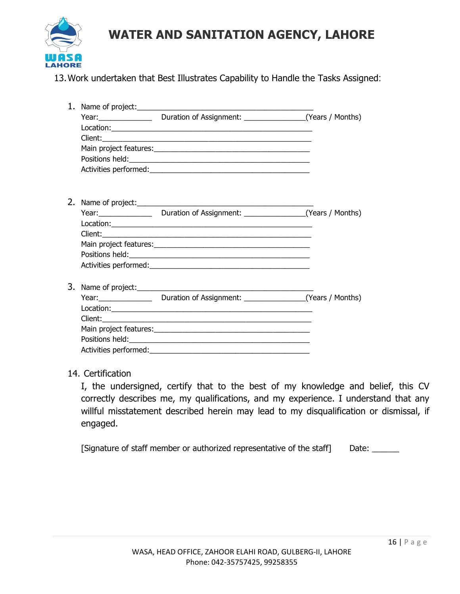

13.Work undertaken that Best Illustrates Capability to Handle the Tasks Assigned:

|  | Year: Vear: Vear: Duration of Assignment: Vears / Months) |  |
|--|-----------------------------------------------------------|--|
|  |                                                           |  |
|  |                                                           |  |
|  |                                                           |  |
|  |                                                           |  |
|  |                                                           |  |
|  |                                                           |  |
|  |                                                           |  |
|  | Year: Vear: Duration of Assignment: Vears / Months)       |  |
|  |                                                           |  |
|  |                                                           |  |
|  |                                                           |  |
|  |                                                           |  |
|  |                                                           |  |
|  |                                                           |  |
|  | Year: Vear: Vear: Duration of Assignment: Vears / Months) |  |
|  |                                                           |  |
|  |                                                           |  |
|  |                                                           |  |
|  |                                                           |  |
|  |                                                           |  |

#### 14. Certification

I, the undersigned, certify that to the best of my knowledge and belief, this CV correctly describes me, my qualifications, and my experience. I understand that any willful misstatement described herein may lead to my disqualification or dismissal, if engaged.

[Signature of staff member or authorized representative of the staff] Date: \_\_\_\_\_